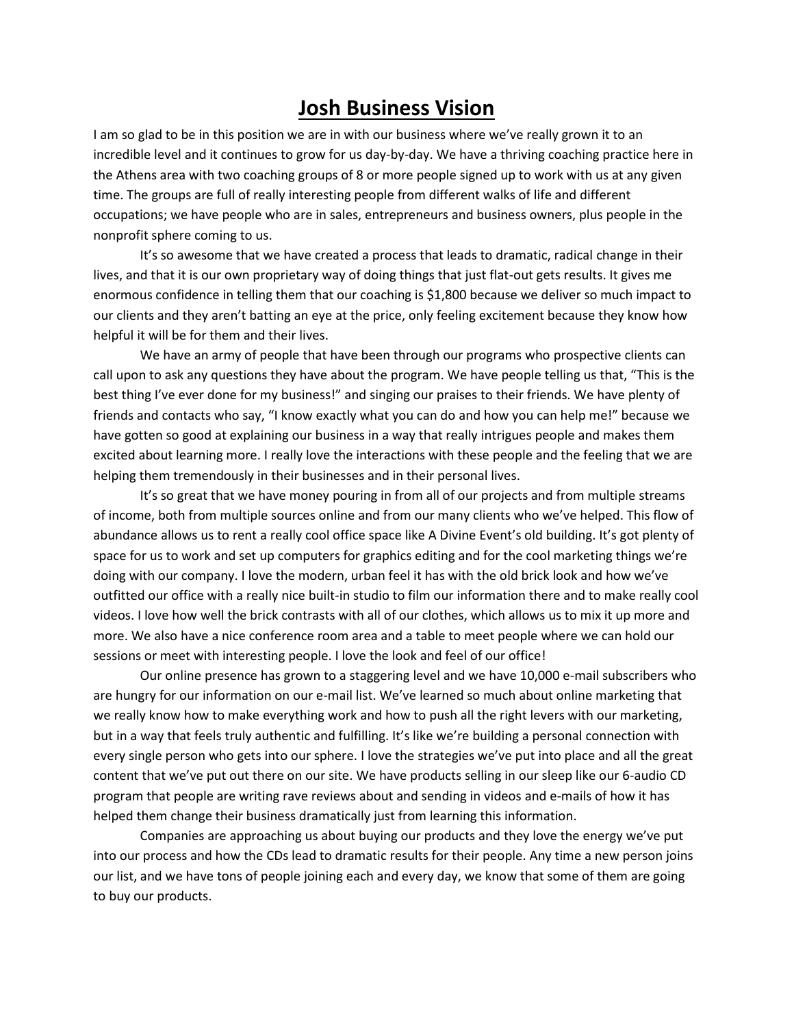## **Josh Business Vision**

I am so glad to be in this position we are in with our business where we've really grown it to an incredible level and it continues to grow for us day-by-day. We have a thriving coaching practice here in the Athens area with two coaching groups of 8 or more people signed up to work with us at any given time. The groups are full of really interesting people from different walks of life and different occupations; we have people who are in sales, entrepreneurs and business owners, plus people in the nonprofit sphere coming to us.

It's so awesome that we have created a process that leads to dramatic, radical change in their lives, and that it is our own proprietary way of doing things that just flat-out gets results. It gives me enormous confidence in telling them that our coaching is \$1,800 because we deliver so much impact to our clients and they aren't batting an eye at the price, only feeling excitement because they know how helpful it will be for them and their lives.

We have an army of people that have been through our programs who prospective clients can call upon to ask any questions they have about the program. We have people telling us that, "This is the best thing I've ever done for my business!" and singing our praises to their friends. We have plenty of friends and contacts who say, "I know exactly what you can do and how you can help me!" because we have gotten so good at explaining our business in a way that really intrigues people and makes them excited about learning more. I really love the interactions with these people and the feeling that we are helping them tremendously in their businesses and in their personal lives.

It's so great that we have money pouring in from all of our projects and from multiple streams of income, both from multiple sources online and from our many clients who we've helped. This flow of abundance allows us to rent a really cool office space like A Divine Event's old building. It's got plenty of space for us to work and set up computers for graphics editing and for the cool marketing things we're doing with our company. I love the modern, urban feel it has with the old brick look and how we've outfitted our office with a really nice built-in studio to film our information there and to make really cool videos. I love how well the brick contrasts with all of our clothes, which allows us to mix it up more and more. We also have a nice conference room area and a table to meet people where we can hold our sessions or meet with interesting people. I love the look and feel of our office!

Our online presence has grown to a staggering level and we have 10,000 e-mail subscribers who are hungry for our information on our e-mail list. We've learned so much about online marketing that we really know how to make everything work and how to push all the right levers with our marketing, but in a way that feels truly authentic and fulfilling. It's like we're building a personal connection with every single person who gets into our sphere. I love the strategies we've put into place and all the great content that we've put out there on our site. We have products selling in our sleep like our 6-audio CD program that people are writing rave reviews about and sending in videos and e-mails of how it has helped them change their business dramatically just from learning this information.

Companies are approaching us about buying our products and they love the energy we've put into our process and how the CDs lead to dramatic results for their people. Any time a new person joins our list, and we have tons of people joining each and every day, we know that some of them are going to buy our products.